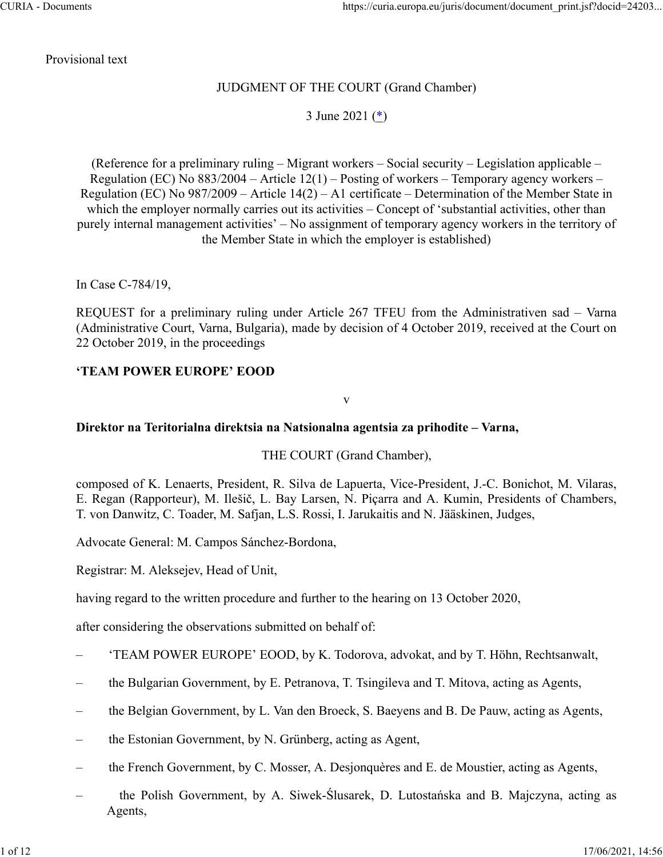Provisional text

## JUDGMENT OF THE COURT (Grand Chamber)

3 June 2021 (\*)

(Reference for a preliminary ruling – Migrant workers – Social security – Legislation applicable – Regulation (EC) No  $883/2004$  – Article 12(1) – Posting of workers – Temporary agency workers – Regulation (EC) No 987/2009 – Article 14(2) – A1 certificate – Determination of the Member State in which the employer normally carries out its activities – Concept of 'substantial activities, other than purely internal management activities' – No assignment of temporary agency workers in the territory of the Member State in which the employer is established)

In Case C‑784/19,

REQUEST for a preliminary ruling under Article 267 TFEU from the Administrativen sad – Varna (Administrative Court, Varna, Bulgaria), made by decision of 4 October 2019, received at the Court on 22 October 2019, in the proceedings

#### **'TEAM POWER EUROPE' EOOD**

v

#### **Direktor na Teritorialna direktsia na Natsionalna agentsia za prihodite – Varna,**

THE COURT (Grand Chamber),

composed of K. Lenaerts, President, R. Silva de Lapuerta, Vice-President, J.‑C. Bonichot, M. Vilaras, E. Regan (Rapporteur), M. Ilešič, L. Bay Larsen, N. Piçarra and A. Kumin, Presidents of Chambers, T. von Danwitz, C. Toader, M. Safjan, L.S. Rossi, I. Jarukaitis and N. Jääskinen, Judges,

Advocate General: M. Campos Sánchez-Bordona,

Registrar: M. Aleksejev, Head of Unit,

having regard to the written procedure and further to the hearing on 13 October 2020,

after considering the observations submitted on behalf of:

- 'TEAM POWER EUROPE' EOOD, by K. Todorova, advokat, and by T. Höhn, Rechtsanwalt,
- the Bulgarian Government, by E. Petranova, T. Tsingileva and T. Mitova, acting as Agents,
- the Belgian Government, by L. Van den Broeck, S. Baeyens and B. De Pauw, acting as Agents,
- the Estonian Government, by N. Grünberg, acting as Agent,
- the French Government, by C. Mosser, A. Desjonquères and E. de Moustier, acting as Agents,
- the Polish Government, by A. Siwek-Ślusarek, D. Lutostańska and B. Majczyna, acting as Agents,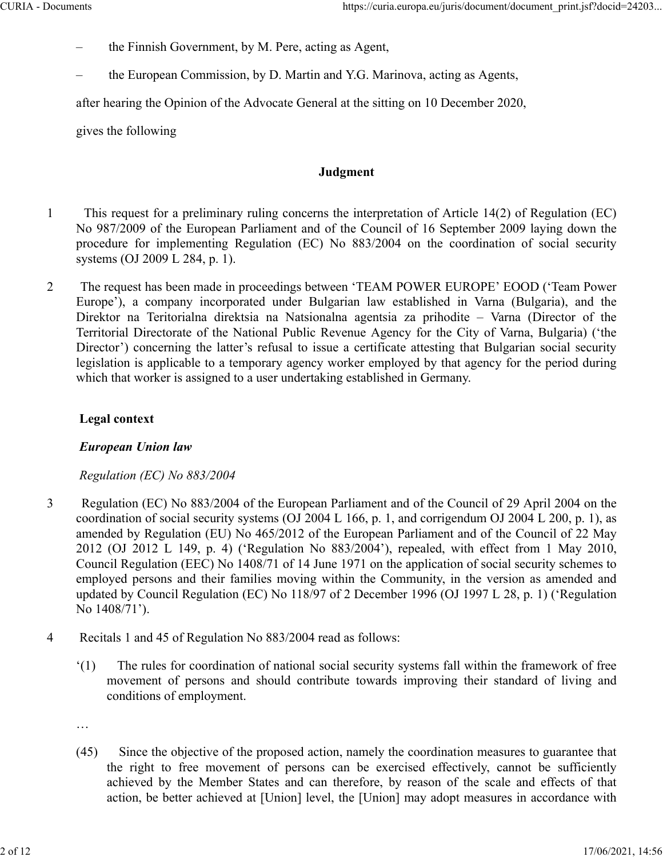- the Finnish Government, by M. Pere, acting as Agent,
- the European Commission, by D. Martin and Y.G. Marinova, acting as Agents,

after hearing the Opinion of the Advocate General at the sitting on 10 December 2020,

gives the following

## **Judgment**

- 1 This request for a preliminary ruling concerns the interpretation of Article 14(2) of Regulation (EC) No 987/2009 of the European Parliament and of the Council of 16 September 2009 laying down the procedure for implementing Regulation (EC) No 883/2004 on the coordination of social security systems (OJ 2009 L 284, p. 1).
- 2 The request has been made in proceedings between 'TEAM POWER EUROPE' EOOD ('Team Power Europe'), a company incorporated under Bulgarian law established in Varna (Bulgaria), and the Direktor na Teritorialna direktsia na Natsionalna agentsia za prihodite – Varna (Director of the Territorial Directorate of the National Public Revenue Agency for the City of Varna, Bulgaria) ('the Director') concerning the latter's refusal to issue a certificate attesting that Bulgarian social security legislation is applicable to a temporary agency worker employed by that agency for the period during which that worker is assigned to a user undertaking established in Germany.

## **Legal context**

## *European Union law*

## *Regulation (EC) No 883/2004*

- 3 Regulation (EC) No 883/2004 of the European Parliament and of the Council of 29 April 2004 on the coordination of social security systems (OJ 2004 L 166, p. 1, and corrigendum OJ 2004 L 200, p. 1), as amended by Regulation (EU) No 465/2012 of the European Parliament and of the Council of 22 May 2012 (OJ 2012 L 149, p. 4) ('Regulation No 883/2004'), repealed, with effect from 1 May 2010, Council Regulation (EEC) No 1408/71 of 14 June 1971 on the application of social security schemes to employed persons and their families moving within the Community, in the version as amended and updated by Council Regulation (EC) No 118/97 of 2 December 1996 (OJ 1997 L 28, p. 1) ('Regulation No 1408/71').
- 4 Recitals 1 and 45 of Regulation No 883/2004 read as follows:
	- '(1) The rules for coordination of national social security systems fall within the framework of free movement of persons and should contribute towards improving their standard of living and conditions of employment.

…

(45) Since the objective of the proposed action, namely the coordination measures to guarantee that the right to free movement of persons can be exercised effectively, cannot be sufficiently achieved by the Member States and can therefore, by reason of the scale and effects of that action, be better achieved at [Union] level, the [Union] may adopt measures in accordance with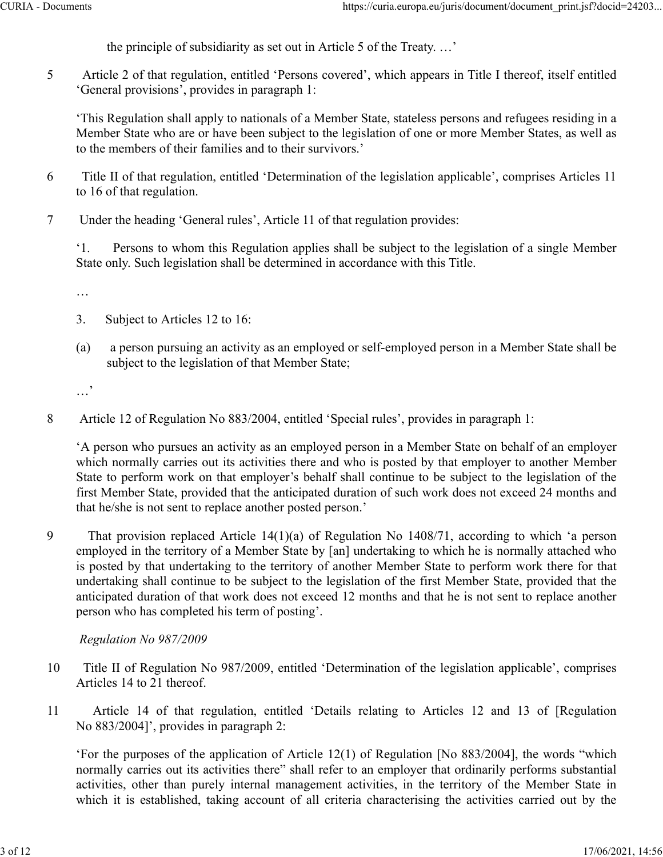the principle of subsidiarity as set out in Article 5 of the Treaty. …'

5 Article 2 of that regulation, entitled 'Persons covered', which appears in Title I thereof, itself entitled 'General provisions', provides in paragraph 1:

'This Regulation shall apply to nationals of a Member State, stateless persons and refugees residing in a Member State who are or have been subject to the legislation of one or more Member States, as well as to the members of their families and to their survivors.'

- 6 Title II of that regulation, entitled 'Determination of the legislation applicable', comprises Articles 11 to 16 of that regulation.
- 7 Under the heading 'General rules', Article 11 of that regulation provides:

'1. Persons to whom this Regulation applies shall be subject to the legislation of a single Member State only. Such legislation shall be determined in accordance with this Title.

…

- 3. Subject to Articles 12 to 16:
- (a) a person pursuing an activity as an employed or self-employed person in a Member State shall be subject to the legislation of that Member State;

…'

8 Article 12 of Regulation No 883/2004, entitled 'Special rules', provides in paragraph 1:

'A person who pursues an activity as an employed person in a Member State on behalf of an employer which normally carries out its activities there and who is posted by that employer to another Member State to perform work on that employer's behalf shall continue to be subject to the legislation of the first Member State, provided that the anticipated duration of such work does not exceed 24 months and that he/she is not sent to replace another posted person.'

9 That provision replaced Article 14(1)(a) of Regulation No 1408/71, according to which 'a person employed in the territory of a Member State by [an] undertaking to which he is normally attached who is posted by that undertaking to the territory of another Member State to perform work there for that undertaking shall continue to be subject to the legislation of the first Member State, provided that the anticipated duration of that work does not exceed 12 months and that he is not sent to replace another person who has completed his term of posting'.

#### *Regulation No 987/2009*

- 10 Title II of Regulation No 987/2009, entitled 'Determination of the legislation applicable', comprises Articles 14 to 21 thereof.
- 11 Article 14 of that regulation, entitled 'Details relating to Articles 12 and 13 of [Regulation No 883/2004]', provides in paragraph 2:

'For the purposes of the application of Article 12(1) of Regulation [No 883/2004], the words "which normally carries out its activities there" shall refer to an employer that ordinarily performs substantial activities, other than purely internal management activities, in the territory of the Member State in which it is established, taking account of all criteria characterising the activities carried out by the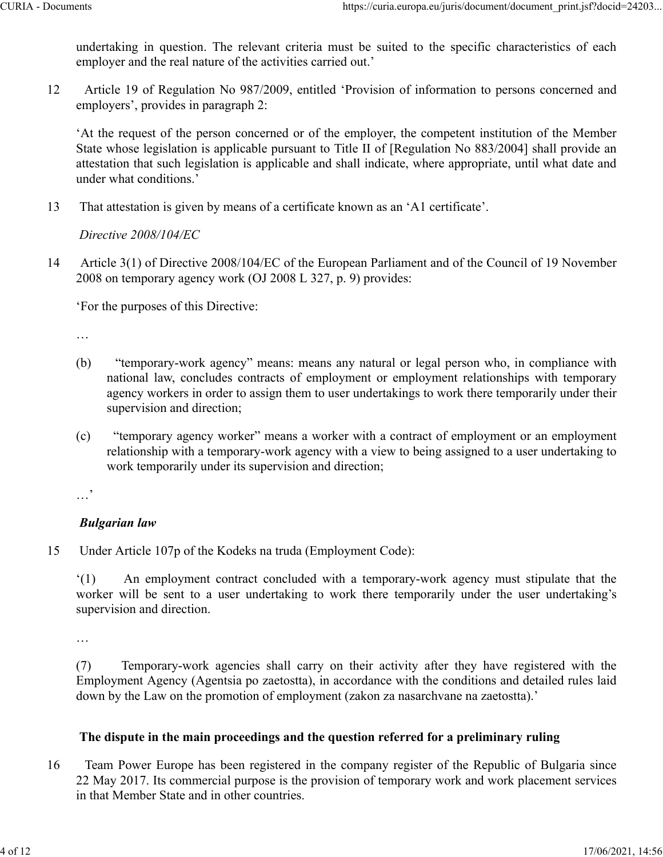undertaking in question. The relevant criteria must be suited to the specific characteristics of each employer and the real nature of the activities carried out.'

12 Article 19 of Regulation No 987/2009, entitled 'Provision of information to persons concerned and employers', provides in paragraph 2:

'At the request of the person concerned or of the employer, the competent institution of the Member State whose legislation is applicable pursuant to Title II of [Regulation No 883/2004] shall provide an attestation that such legislation is applicable and shall indicate, where appropriate, until what date and under what conditions.'

13 That attestation is given by means of a certificate known as an 'A1 certificate'.

*Directive 2008/104/EC*

14 Article 3(1) of Directive 2008/104/EC of the European Parliament and of the Council of 19 November 2008 on temporary agency work (OJ 2008 L 327, p. 9) provides:

'For the purposes of this Directive:

…

- (b) "temporary-work agency" means: means any natural or legal person who, in compliance with national law, concludes contracts of employment or employment relationships with temporary agency workers in order to assign them to user undertakings to work there temporarily under their supervision and direction;
- (c) "temporary agency worker" means a worker with a contract of employment or an employment relationship with a temporary-work agency with a view to being assigned to a user undertaking to work temporarily under its supervision and direction;

…'

# *Bulgarian law*

15 Under Article 107p of the Kodeks na truda (Employment Code):

'(1) An employment contract concluded with a temporary-work agency must stipulate that the worker will be sent to a user undertaking to work there temporarily under the user undertaking's supervision and direction.

…

(7) Temporary-work agencies shall carry on their activity after they have registered with the Employment Agency (Agentsia po zaetostta), in accordance with the conditions and detailed rules laid down by the Law on the promotion of employment (zakon za nasarchvane na zaetostta).'

## **The dispute in the main proceedings and the question referred for a preliminary ruling**

16 Team Power Europe has been registered in the company register of the Republic of Bulgaria since 22 May 2017. Its commercial purpose is the provision of temporary work and work placement services in that Member State and in other countries.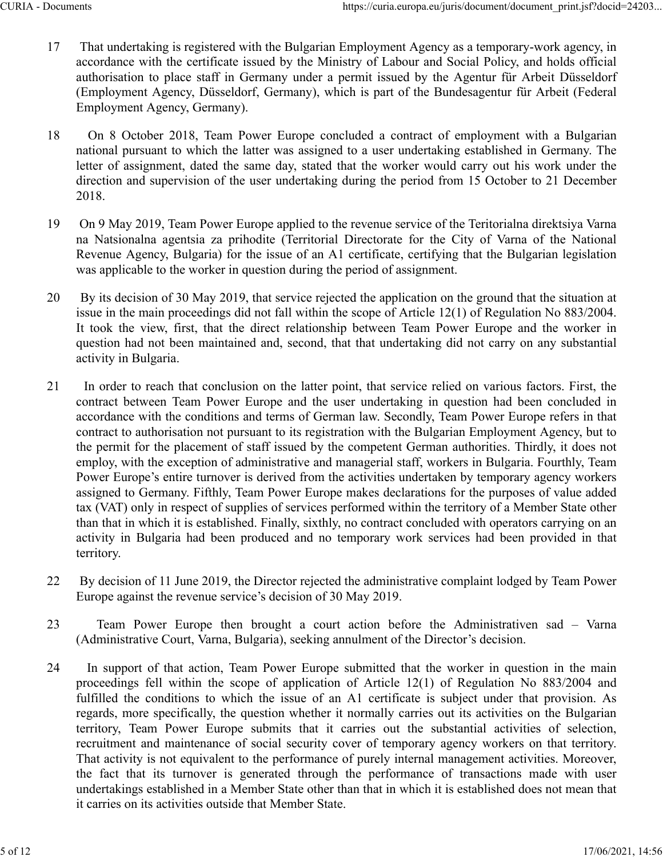- 17 That undertaking is registered with the Bulgarian Employment Agency as a temporary-work agency, in accordance with the certificate issued by the Ministry of Labour and Social Policy, and holds official authorisation to place staff in Germany under a permit issued by the Agentur für Arbeit Düsseldorf (Employment Agency, Düsseldorf, Germany), which is part of the Bundesagentur für Arbeit (Federal Employment Agency, Germany).
- 18 On 8 October 2018, Team Power Europe concluded a contract of employment with a Bulgarian national pursuant to which the latter was assigned to a user undertaking established in Germany. The letter of assignment, dated the same day, stated that the worker would carry out his work under the direction and supervision of the user undertaking during the period from 15 October to 21 December 2018.
- 19 On 9 May 2019, Team Power Europe applied to the revenue service of the Teritorialna direktsiya Varna na Natsionalna agentsia za prihodite (Territorial Directorate for the City of Varna of the National Revenue Agency, Bulgaria) for the issue of an A1 certificate, certifying that the Bulgarian legislation was applicable to the worker in question during the period of assignment.
- 20 By its decision of 30 May 2019, that service rejected the application on the ground that the situation at issue in the main proceedings did not fall within the scope of Article 12(1) of Regulation No 883/2004. It took the view, first, that the direct relationship between Team Power Europe and the worker in question had not been maintained and, second, that that undertaking did not carry on any substantial activity in Bulgaria.
- 21 In order to reach that conclusion on the latter point, that service relied on various factors. First, the contract between Team Power Europe and the user undertaking in question had been concluded in accordance with the conditions and terms of German law. Secondly, Team Power Europe refers in that contract to authorisation not pursuant to its registration with the Bulgarian Employment Agency, but to the permit for the placement of staff issued by the competent German authorities. Thirdly, it does not employ, with the exception of administrative and managerial staff, workers in Bulgaria. Fourthly, Team Power Europe's entire turnover is derived from the activities undertaken by temporary agency workers assigned to Germany. Fifthly, Team Power Europe makes declarations for the purposes of value added tax (VAT) only in respect of supplies of services performed within the territory of a Member State other than that in which it is established. Finally, sixthly, no contract concluded with operators carrying on an activity in Bulgaria had been produced and no temporary work services had been provided in that territory.
- 22 By decision of 11 June 2019, the Director rejected the administrative complaint lodged by Team Power Europe against the revenue service's decision of 30 May 2019.
- 23 Team Power Europe then brought a court action before the Administrativen sad Varna (Administrative Court, Varna, Bulgaria), seeking annulment of the Director's decision.
- 24 In support of that action, Team Power Europe submitted that the worker in question in the main proceedings fell within the scope of application of Article 12(1) of Regulation No 883/2004 and fulfilled the conditions to which the issue of an A1 certificate is subject under that provision. As regards, more specifically, the question whether it normally carries out its activities on the Bulgarian territory, Team Power Europe submits that it carries out the substantial activities of selection, recruitment and maintenance of social security cover of temporary agency workers on that territory. That activity is not equivalent to the performance of purely internal management activities. Moreover, the fact that its turnover is generated through the performance of transactions made with user undertakings established in a Member State other than that in which it is established does not mean that it carries on its activities outside that Member State.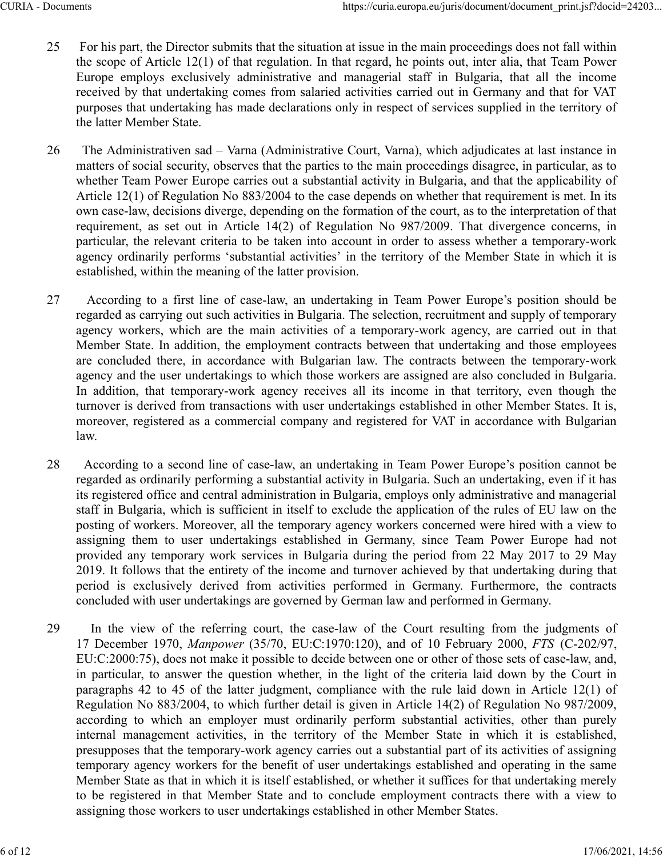- 25 For his part, the Director submits that the situation at issue in the main proceedings does not fall within the scope of Article 12(1) of that regulation. In that regard, he points out, inter alia, that Team Power Europe employs exclusively administrative and managerial staff in Bulgaria, that all the income received by that undertaking comes from salaried activities carried out in Germany and that for VAT purposes that undertaking has made declarations only in respect of services supplied in the territory of the latter Member State.
- 26 The Administrativen sad Varna (Administrative Court, Varna), which adjudicates at last instance in matters of social security, observes that the parties to the main proceedings disagree, in particular, as to whether Team Power Europe carries out a substantial activity in Bulgaria, and that the applicability of Article 12(1) of Regulation No 883/2004 to the case depends on whether that requirement is met. In its own case-law, decisions diverge, depending on the formation of the court, as to the interpretation of that requirement, as set out in Article 14(2) of Regulation No 987/2009. That divergence concerns, in particular, the relevant criteria to be taken into account in order to assess whether a temporary-work agency ordinarily performs 'substantial activities' in the territory of the Member State in which it is established, within the meaning of the latter provision.
- 27 According to a first line of case-law, an undertaking in Team Power Europe's position should be regarded as carrying out such activities in Bulgaria. The selection, recruitment and supply of temporary agency workers, which are the main activities of a temporary-work agency, are carried out in that Member State. In addition, the employment contracts between that undertaking and those employees are concluded there, in accordance with Bulgarian law. The contracts between the temporary-work agency and the user undertakings to which those workers are assigned are also concluded in Bulgaria. In addition, that temporary-work agency receives all its income in that territory, even though the turnover is derived from transactions with user undertakings established in other Member States. It is, moreover, registered as a commercial company and registered for VAT in accordance with Bulgarian law.
- 28 According to a second line of case-law, an undertaking in Team Power Europe's position cannot be regarded as ordinarily performing a substantial activity in Bulgaria. Such an undertaking, even if it has its registered office and central administration in Bulgaria, employs only administrative and managerial staff in Bulgaria, which is sufficient in itself to exclude the application of the rules of EU law on the posting of workers. Moreover, all the temporary agency workers concerned were hired with a view to assigning them to user undertakings established in Germany, since Team Power Europe had not provided any temporary work services in Bulgaria during the period from 22 May 2017 to 29 May 2019. It follows that the entirety of the income and turnover achieved by that undertaking during that period is exclusively derived from activities performed in Germany. Furthermore, the contracts concluded with user undertakings are governed by German law and performed in Germany.
- 29 In the view of the referring court, the case-law of the Court resulting from the judgments of 17 December 1970, *Manpower* (35/70, EU:C:1970:120), and of 10 February 2000, *FTS* (C‑202/97, EU:C:2000:75), does not make it possible to decide between one or other of those sets of case-law, and, in particular, to answer the question whether, in the light of the criteria laid down by the Court in paragraphs 42 to 45 of the latter judgment, compliance with the rule laid down in Article 12(1) of Regulation No 883/2004, to which further detail is given in Article 14(2) of Regulation No 987/2009, according to which an employer must ordinarily perform substantial activities, other than purely internal management activities, in the territory of the Member State in which it is established, presupposes that the temporary-work agency carries out a substantial part of its activities of assigning temporary agency workers for the benefit of user undertakings established and operating in the same Member State as that in which it is itself established, or whether it suffices for that undertaking merely to be registered in that Member State and to conclude employment contracts there with a view to assigning those workers to user undertakings established in other Member States.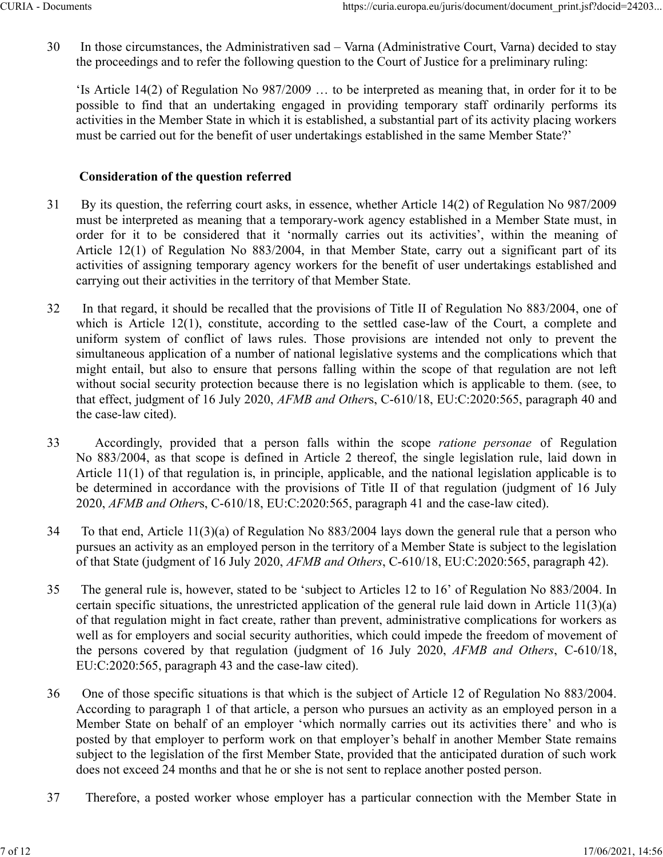30 In those circumstances, the Administrativen sad – Varna (Administrative Court, Varna) decided to stay the proceedings and to refer the following question to the Court of Justice for a preliminary ruling:

'Is Article 14(2) of Regulation No 987/2009 … to be interpreted as meaning that, in order for it to be possible to find that an undertaking engaged in providing temporary staff ordinarily performs its activities in the Member State in which it is established, a substantial part of its activity placing workers must be carried out for the benefit of user undertakings established in the same Member State?'

#### **Consideration of the question referred**

- 31 By its question, the referring court asks, in essence, whether Article 14(2) of Regulation No 987/2009 must be interpreted as meaning that a temporary-work agency established in a Member State must, in order for it to be considered that it 'normally carries out its activities', within the meaning of Article 12(1) of Regulation No 883/2004, in that Member State, carry out a significant part of its activities of assigning temporary agency workers for the benefit of user undertakings established and carrying out their activities in the territory of that Member State.
- 32 In that regard, it should be recalled that the provisions of Title II of Regulation No 883/2004, one of which is Article 12(1), constitute, according to the settled case-law of the Court, a complete and uniform system of conflict of laws rules. Those provisions are intended not only to prevent the simultaneous application of a number of national legislative systems and the complications which that might entail, but also to ensure that persons falling within the scope of that regulation are not left without social security protection because there is no legislation which is applicable to them. (see, to that effect, judgment of 16 July 2020, *AFMB and Other*s, C‑610/18, EU:C:2020:565, paragraph 40 and the case-law cited).
- 33 Accordingly, provided that a person falls within the scope *ratione personae* of Regulation No 883/2004, as that scope is defined in Article 2 thereof, the single legislation rule, laid down in Article 11(1) of that regulation is, in principle, applicable, and the national legislation applicable is to be determined in accordance with the provisions of Title II of that regulation (judgment of 16 July 2020, *AFMB and Other*s, C‑610/18, EU:C:2020:565, paragraph 41 and the case-law cited).
- 34 To that end, Article 11(3)(a) of Regulation No 883/2004 lays down the general rule that a person who pursues an activity as an employed person in the territory of a Member State is subject to the legislation of that State (judgment of 16 July 2020, *AFMB and Others*, C‑610/18, EU:C:2020:565, paragraph 42).
- 35 The general rule is, however, stated to be 'subject to Articles 12 to 16' of Regulation No 883/2004. In certain specific situations, the unrestricted application of the general rule laid down in Article 11(3)(a) of that regulation might in fact create, rather than prevent, administrative complications for workers as well as for employers and social security authorities, which could impede the freedom of movement of the persons covered by that regulation (judgment of 16 July 2020, *AFMB and Others*, C‑610/18, EU:C:2020:565, paragraph 43 and the case-law cited).
- 36 One of those specific situations is that which is the subject of Article 12 of Regulation No 883/2004. According to paragraph 1 of that article, a person who pursues an activity as an employed person in a Member State on behalf of an employer 'which normally carries out its activities there' and who is posted by that employer to perform work on that employer's behalf in another Member State remains subject to the legislation of the first Member State, provided that the anticipated duration of such work does not exceed 24 months and that he or she is not sent to replace another posted person.
- 37 Therefore, a posted worker whose employer has a particular connection with the Member State in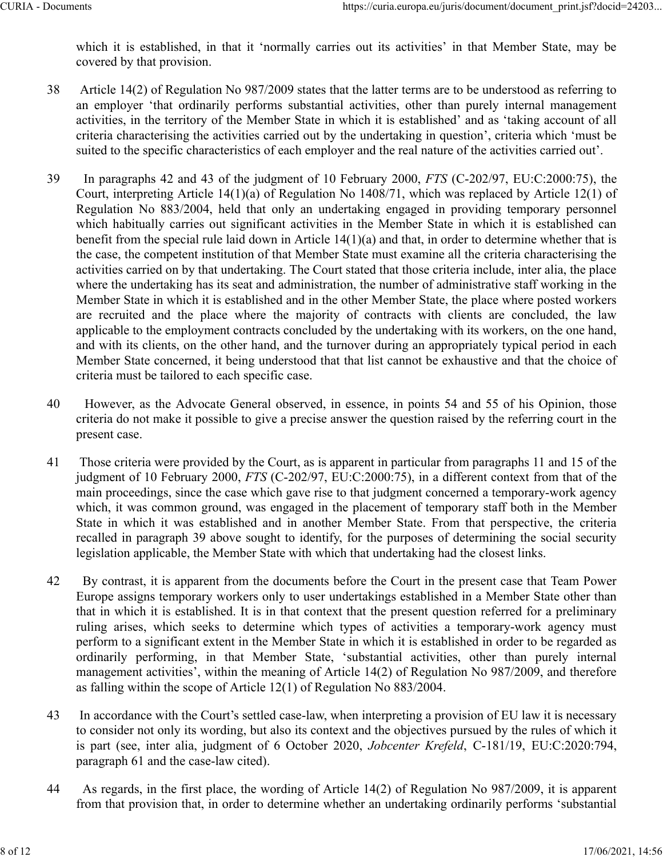which it is established, in that it 'normally carries out its activities' in that Member State, may be covered by that provision.

- 38 Article 14(2) of Regulation No 987/2009 states that the latter terms are to be understood as referring to an employer 'that ordinarily performs substantial activities, other than purely internal management activities, in the territory of the Member State in which it is established' and as 'taking account of all criteria characterising the activities carried out by the undertaking in question', criteria which 'must be suited to the specific characteristics of each employer and the real nature of the activities carried out'.
- 39 In paragraphs 42 and 43 of the judgment of 10 February 2000, *FTS* (C‑202/97, EU:C:2000:75), the Court, interpreting Article 14(1)(a) of Regulation No 1408/71, which was replaced by Article 12(1) of Regulation No 883/2004, held that only an undertaking engaged in providing temporary personnel which habitually carries out significant activities in the Member State in which it is established can benefit from the special rule laid down in Article 14(1)(a) and that, in order to determine whether that is the case, the competent institution of that Member State must examine all the criteria characterising the activities carried on by that undertaking. The Court stated that those criteria include, inter alia, the place where the undertaking has its seat and administration, the number of administrative staff working in the Member State in which it is established and in the other Member State, the place where posted workers are recruited and the place where the majority of contracts with clients are concluded, the law applicable to the employment contracts concluded by the undertaking with its workers, on the one hand, and with its clients, on the other hand, and the turnover during an appropriately typical period in each Member State concerned, it being understood that that list cannot be exhaustive and that the choice of criteria must be tailored to each specific case.
- 40 However, as the Advocate General observed, in essence, in points 54 and 55 of his Opinion, those criteria do not make it possible to give a precise answer the question raised by the referring court in the present case.
- 41 Those criteria were provided by the Court, as is apparent in particular from paragraphs 11 and 15 of the judgment of 10 February 2000, *FTS* (C-202/97, EU:C:2000:75), in a different context from that of the main proceedings, since the case which gave rise to that judgment concerned a temporary-work agency which, it was common ground, was engaged in the placement of temporary staff both in the Member State in which it was established and in another Member State. From that perspective, the criteria recalled in paragraph 39 above sought to identify, for the purposes of determining the social security legislation applicable, the Member State with which that undertaking had the closest links.
- 42 By contrast, it is apparent from the documents before the Court in the present case that Team Power Europe assigns temporary workers only to user undertakings established in a Member State other than that in which it is established. It is in that context that the present question referred for a preliminary ruling arises, which seeks to determine which types of activities a temporary-work agency must perform to a significant extent in the Member State in which it is established in order to be regarded as ordinarily performing, in that Member State, 'substantial activities, other than purely internal management activities', within the meaning of Article 14(2) of Regulation No 987/2009, and therefore as falling within the scope of Article 12(1) of Regulation No 883/2004.
- 43 In accordance with the Court's settled case-law, when interpreting a provision of EU law it is necessary to consider not only its wording, but also its context and the objectives pursued by the rules of which it is part (see, inter alia, judgment of 6 October 2020, *Jobcenter Krefeld*, C‑181/19, EU:C:2020:794, paragraph 61 and the case-law cited).
- 44 As regards, in the first place, the wording of Article 14(2) of Regulation No 987/2009, it is apparent from that provision that, in order to determine whether an undertaking ordinarily performs 'substantial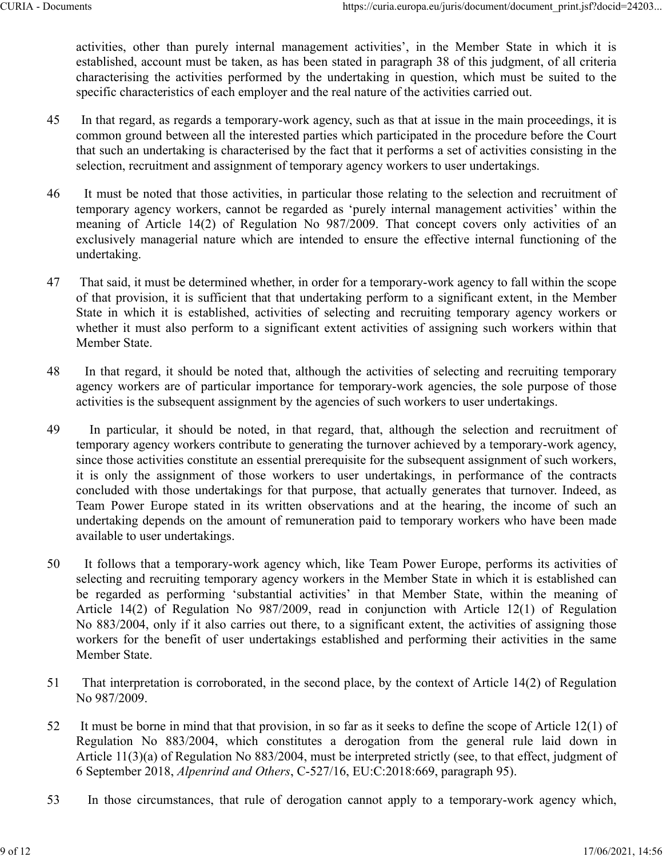activities, other than purely internal management activities', in the Member State in which it is established, account must be taken, as has been stated in paragraph 38 of this judgment, of all criteria characterising the activities performed by the undertaking in question, which must be suited to the specific characteristics of each employer and the real nature of the activities carried out.

- 45 In that regard, as regards a temporary-work agency, such as that at issue in the main proceedings, it is common ground between all the interested parties which participated in the procedure before the Court that such an undertaking is characterised by the fact that it performs a set of activities consisting in the selection, recruitment and assignment of temporary agency workers to user undertakings.
- 46 It must be noted that those activities, in particular those relating to the selection and recruitment of temporary agency workers, cannot be regarded as 'purely internal management activities' within the meaning of Article 14(2) of Regulation No 987/2009. That concept covers only activities of an exclusively managerial nature which are intended to ensure the effective internal functioning of the undertaking.
- 47 That said, it must be determined whether, in order for a temporary-work agency to fall within the scope of that provision, it is sufficient that that undertaking perform to a significant extent, in the Member State in which it is established, activities of selecting and recruiting temporary agency workers or whether it must also perform to a significant extent activities of assigning such workers within that Member State.
- 48 In that regard, it should be noted that, although the activities of selecting and recruiting temporary agency workers are of particular importance for temporary-work agencies, the sole purpose of those activities is the subsequent assignment by the agencies of such workers to user undertakings.
- 49 In particular, it should be noted, in that regard, that, although the selection and recruitment of temporary agency workers contribute to generating the turnover achieved by a temporary-work agency, since those activities constitute an essential prerequisite for the subsequent assignment of such workers, it is only the assignment of those workers to user undertakings, in performance of the contracts concluded with those undertakings for that purpose, that actually generates that turnover. Indeed, as Team Power Europe stated in its written observations and at the hearing, the income of such an undertaking depends on the amount of remuneration paid to temporary workers who have been made available to user undertakings.
- 50 It follows that a temporary-work agency which, like Team Power Europe, performs its activities of selecting and recruiting temporary agency workers in the Member State in which it is established can be regarded as performing 'substantial activities' in that Member State, within the meaning of Article 14(2) of Regulation No 987/2009, read in conjunction with Article 12(1) of Regulation No 883/2004, only if it also carries out there, to a significant extent, the activities of assigning those workers for the benefit of user undertakings established and performing their activities in the same Member State.
- 51 That interpretation is corroborated, in the second place, by the context of Article 14(2) of Regulation No 987/2009.
- 52 It must be borne in mind that that provision, in so far as it seeks to define the scope of Article 12(1) of Regulation No 883/2004, which constitutes a derogation from the general rule laid down in Article 11(3)(a) of Regulation No 883/2004, must be interpreted strictly (see, to that effect, judgment of 6 September 2018, *Alpenrind and Others*, C‑527/16, EU:C:2018:669, paragraph 95).
- 53 In those circumstances, that rule of derogation cannot apply to a temporary-work agency which,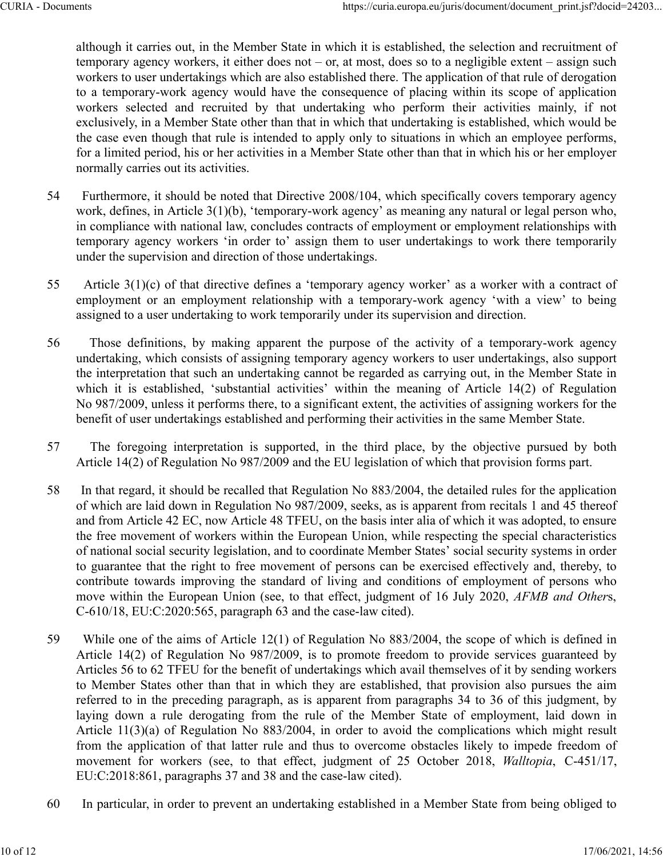although it carries out, in the Member State in which it is established, the selection and recruitment of temporary agency workers, it either does not – or, at most, does so to a negligible extent – assign such workers to user undertakings which are also established there. The application of that rule of derogation to a temporary-work agency would have the consequence of placing within its scope of application workers selected and recruited by that undertaking who perform their activities mainly, if not exclusively, in a Member State other than that in which that undertaking is established, which would be the case even though that rule is intended to apply only to situations in which an employee performs, for a limited period, his or her activities in a Member State other than that in which his or her employer normally carries out its activities.

- 54 Furthermore, it should be noted that Directive 2008/104, which specifically covers temporary agency work, defines, in Article 3(1)(b), 'temporary-work agency' as meaning any natural or legal person who, in compliance with national law, concludes contracts of employment or employment relationships with temporary agency workers 'in order to' assign them to user undertakings to work there temporarily under the supervision and direction of those undertakings.
- 55 Article 3(1)(c) of that directive defines a 'temporary agency worker' as a worker with a contract of employment or an employment relationship with a temporary-work agency 'with a view' to being assigned to a user undertaking to work temporarily under its supervision and direction.
- 56 Those definitions, by making apparent the purpose of the activity of a temporary-work agency undertaking, which consists of assigning temporary agency workers to user undertakings, also support the interpretation that such an undertaking cannot be regarded as carrying out, in the Member State in which it is established, 'substantial activities' within the meaning of Article 14(2) of Regulation No 987/2009, unless it performs there, to a significant extent, the activities of assigning workers for the benefit of user undertakings established and performing their activities in the same Member State.
- 57 The foregoing interpretation is supported, in the third place, by the objective pursued by both Article 14(2) of Regulation No 987/2009 and the EU legislation of which that provision forms part.
- 58 In that regard, it should be recalled that Regulation No 883/2004, the detailed rules for the application of which are laid down in Regulation No 987/2009, seeks, as is apparent from recitals 1 and 45 thereof and from Article 42 EC, now Article 48 TFEU, on the basis inter alia of which it was adopted, to ensure the free movement of workers within the European Union, while respecting the special characteristics of national social security legislation, and to coordinate Member States' social security systems in order to guarantee that the right to free movement of persons can be exercised effectively and, thereby, to contribute towards improving the standard of living and conditions of employment of persons who move within the European Union (see, to that effect, judgment of 16 July 2020, *AFMB and Other*s, C‑610/18, EU:C:2020:565, paragraph 63 and the case-law cited).
- 59 While one of the aims of Article 12(1) of Regulation No 883/2004, the scope of which is defined in Article 14(2) of Regulation No 987/2009, is to promote freedom to provide services guaranteed by Articles 56 to 62 TFEU for the benefit of undertakings which avail themselves of it by sending workers to Member States other than that in which they are established, that provision also pursues the aim referred to in the preceding paragraph, as is apparent from paragraphs 34 to 36 of this judgment, by laying down a rule derogating from the rule of the Member State of employment, laid down in Article 11(3)(a) of Regulation No 883/2004, in order to avoid the complications which might result from the application of that latter rule and thus to overcome obstacles likely to impede freedom of movement for workers (see, to that effect, judgment of 25 October 2018, Walltopia, C-451/17, EU:C:2018:861, paragraphs 37 and 38 and the case-law cited).
- 60 In particular, in order to prevent an undertaking established in a Member State from being obliged to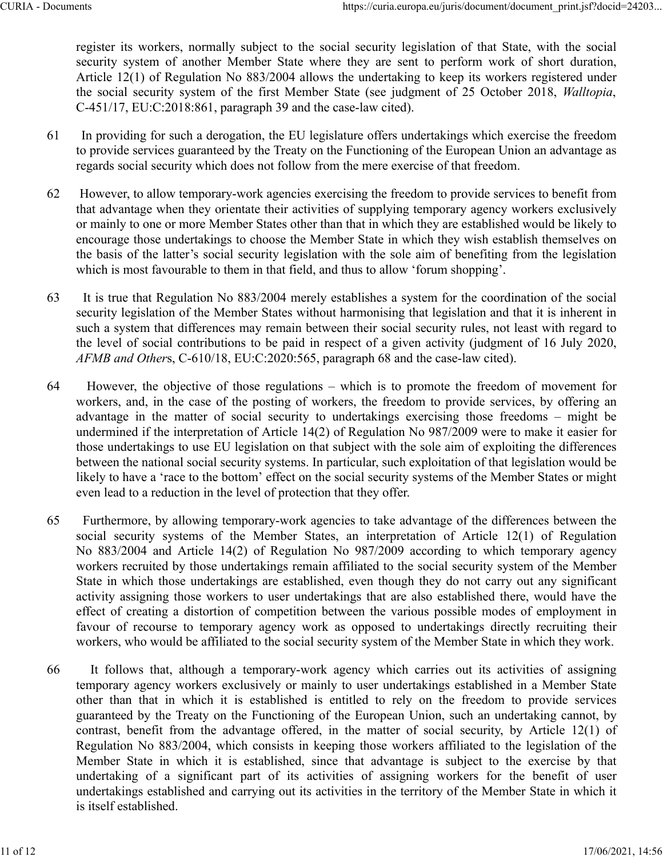register its workers, normally subject to the social security legislation of that State, with the social security system of another Member State where they are sent to perform work of short duration, Article 12(1) of Regulation No 883/2004 allows the undertaking to keep its workers registered under the social security system of the first Member State (see judgment of 25 October 2018, *Walltopia*, C‑451/17, EU:C:2018:861, paragraph 39 and the case-law cited).

- 61 In providing for such a derogation, the EU legislature offers undertakings which exercise the freedom to provide services guaranteed by the Treaty on the Functioning of the European Union an advantage as regards social security which does not follow from the mere exercise of that freedom.
- 62 However, to allow temporary-work agencies exercising the freedom to provide services to benefit from that advantage when they orientate their activities of supplying temporary agency workers exclusively or mainly to one or more Member States other than that in which they are established would be likely to encourage those undertakings to choose the Member State in which they wish establish themselves on the basis of the latter's social security legislation with the sole aim of benefiting from the legislation which is most favourable to them in that field, and thus to allow 'forum shopping'.
- 63 It is true that Regulation No 883/2004 merely establishes a system for the coordination of the social security legislation of the Member States without harmonising that legislation and that it is inherent in such a system that differences may remain between their social security rules, not least with regard to the level of social contributions to be paid in respect of a given activity (judgment of 16 July 2020, *AFMB and Other*s, C‑610/18, EU:C:2020:565, paragraph 68 and the case-law cited).
- 64 However, the objective of those regulations which is to promote the freedom of movement for workers, and, in the case of the posting of workers, the freedom to provide services, by offering an advantage in the matter of social security to undertakings exercising those freedoms – might be undermined if the interpretation of Article 14(2) of Regulation No 987/2009 were to make it easier for those undertakings to use EU legislation on that subject with the sole aim of exploiting the differences between the national social security systems. In particular, such exploitation of that legislation would be likely to have a 'race to the bottom' effect on the social security systems of the Member States or might even lead to a reduction in the level of protection that they offer.
- 65 Furthermore, by allowing temporary-work agencies to take advantage of the differences between the social security systems of the Member States, an interpretation of Article 12(1) of Regulation No 883/2004 and Article 14(2) of Regulation No 987/2009 according to which temporary agency workers recruited by those undertakings remain affiliated to the social security system of the Member State in which those undertakings are established, even though they do not carry out any significant activity assigning those workers to user undertakings that are also established there, would have the effect of creating a distortion of competition between the various possible modes of employment in favour of recourse to temporary agency work as opposed to undertakings directly recruiting their workers, who would be affiliated to the social security system of the Member State in which they work.
- 66 It follows that, although a temporary-work agency which carries out its activities of assigning temporary agency workers exclusively or mainly to user undertakings established in a Member State other than that in which it is established is entitled to rely on the freedom to provide services guaranteed by the Treaty on the Functioning of the European Union, such an undertaking cannot, by contrast, benefit from the advantage offered, in the matter of social security, by Article 12(1) of Regulation No 883/2004, which consists in keeping those workers affiliated to the legislation of the Member State in which it is established, since that advantage is subject to the exercise by that undertaking of a significant part of its activities of assigning workers for the benefit of user undertakings established and carrying out its activities in the territory of the Member State in which it is itself established.